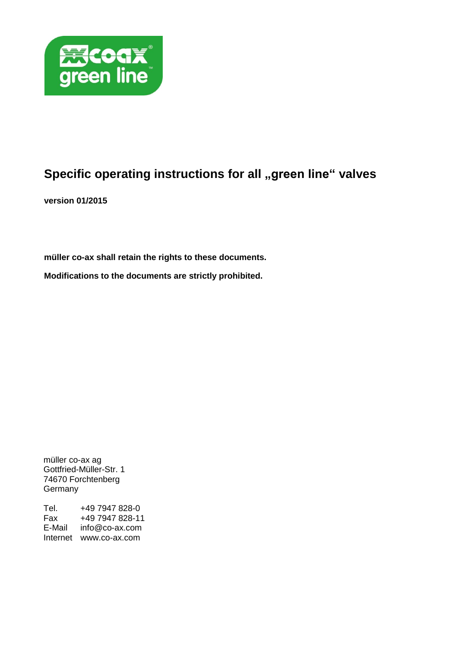

# **Specific operating instructions for all "green line" valves**

**version 01/2015**

**müller co-ax shall retain the rights to these documents.**

**Modifications to the documents are strictly prohibited.**

müller co-ax ag Gottfried-Müller-Str. 1 74670 Forchtenberg **Germany** 

Tel. +49 7947 828-0<br>Fax +49 7947 828-11 Fax +49 7947 828-11 E-Mail info@co-ax.com Internet www.co-ax.com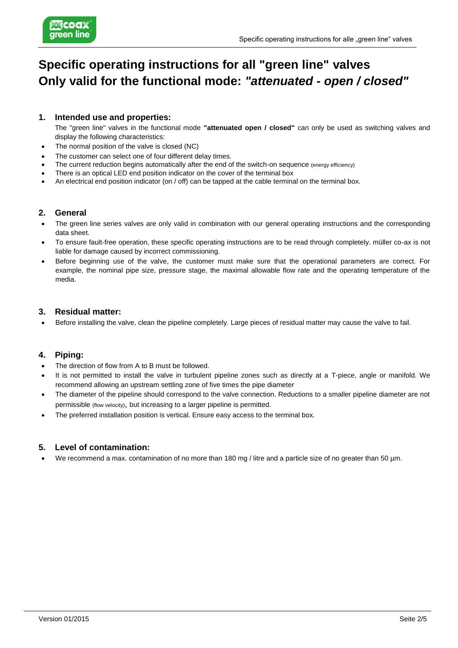

# **Specific operating instructions for all "green line" valves Only valid for the functional mode:** *"attenuated - open / closed"*

### **1. Intended use and properties:**

The "green line" valves in the functional mode **"attenuated open / closed"** can only be used as switching valves and display the following characteristics:

- The normal position of the valve is closed (NC)
- The customer can select one of four different delay times.
- The current reduction begins automatically after the end of the switch-on sequence (energy efficiency)
- There is an optical LED end position indicator on the cover of the terminal box
- An electrical end position indicator (on / off) can be tapped at the cable terminal on the terminal box.

### **2. General**

- The green line series valves are only valid in combination with our general operating instructions and the corresponding data sheet.
- To ensure fault-free operation, these specific operating instructions are to be read through completely. müller co-ax is not liable for damage caused by incorrect commissioning.
- Before beginning use of the valve, the customer must make sure that the operational parameters are correct. For example, the nominal pipe size, pressure stage, the maximal allowable flow rate and the operating temperature of the media.

#### **3. Residual matter:**

Before installing the valve, clean the pipeline completely. Large pieces of residual matter may cause the valve to fail.

#### **4. Piping:**

- The direction of flow from A to B must be followed.
- It is not permitted to install the valve in turbulent pipeline zones such as directly at a T-piece, angle or manifold. We recommend allowing an upstream settling zone of five times the pipe diameter
- The diameter of the pipeline should correspond to the valve connection. Reductions to a smaller pipeline diameter are not permissible (flow velocity), but increasing to a larger pipeline is permitted.
- The preferred installation position is vertical. Ensure easy access to the terminal box.

#### **5. Level of contamination:**

We recommend a max. contamination of no more than 180 mg / litre and a particle size of no greater than 50 µm.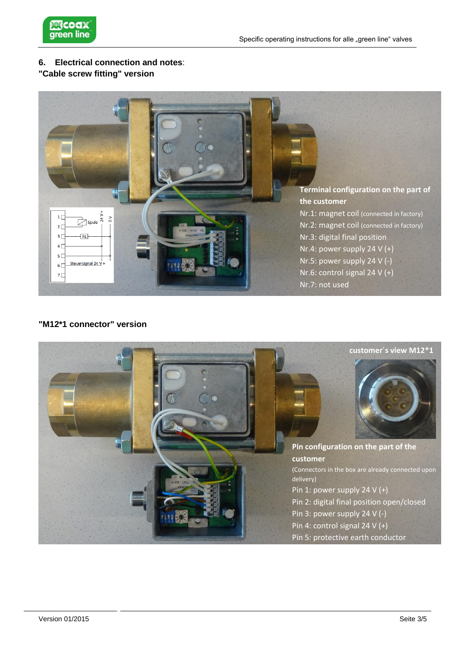

# **6. Electrical connection and notes**:

# **"Cable screw fitting" version**



## **"M12\*1 connector" version**

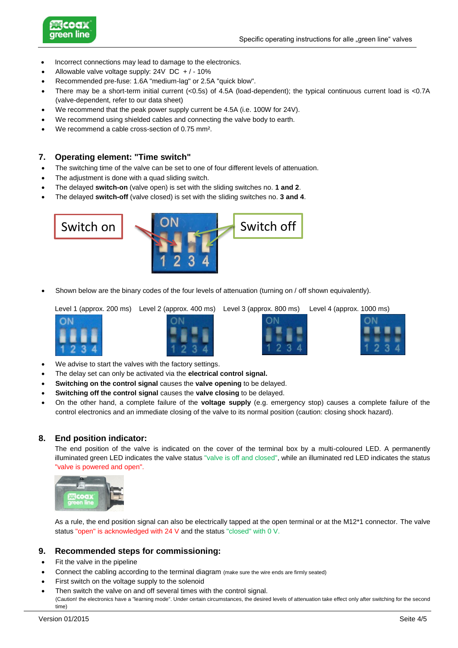

- Incorrect connections may lead to damage to the electronics.
- Allowable valve voltage supply: 24V DC + / 10%
- Recommended pre-fuse: 1.6A "medium-lag" or 2.5A "quick blow".
- There may be a short-term initial current (<0.5s) of 4.5A (load-dependent); the typical continuous current load is <0.7A (valve-dependent, refer to our data sheet)
- We recommend that the peak power supply current be 4.5A (i.e. 100W for 24V).
- We recommend using shielded cables and connecting the valve body to earth.
- We recommend a cable cross-section of 0.75 mm².

#### **7. Operating element: "Time switch"**

- The switching time of the valve can be set to one of four different levels of attenuation.
- The adjustment is done with a quad sliding switch.
- The delayed **switch-on** (valve open) is set with the sliding switches no. **1 and 2**.
- The delayed **switch-off** (valve closed) is set with the sliding switches no. **3 and 4**.



Shown below are the binary codes of the four levels of attenuation (turning on / off shown equivalently).

Level 1 (approx. 200 ms) Level 2 (approx. 400 ms) Level 3 (approx. 800 ms) Level 4 (approx. 1000 ms)







- We advise to start the valves with the factory settings.
- The delay set can only be activated via the **electrical control signal.**
- **Switching on the control signal** causes the **valve opening** to be delayed.
- **Switching off the control signal** causes the **valve closing** to be delayed.
- On the other hand, a complete failure of the **voltage supply** (e.g. emergency stop) causes a complete failure of the control electronics and an immediate closing of the valve to its normal position (caution: closing shock hazard).

#### **8. End position indicator:**

The end position of the valve is indicated on the cover of the terminal box by a multi-coloured LED. A permanently illuminated green LED indicates the valve status "valve is off and closed", while an illuminated red LED indicates the status "valve is powered and open".



As a rule, the end position signal can also be electrically tapped at the open terminal or at the M12\*1 connector. The valve status "open" is acknowledged with 24 V and the status "closed" with 0 V.

#### **9. Recommended steps for commissioning:**

- Fit the valve in the pipeline
- Connect the cabling according to the terminal diagram (make sure the wire ends are firmly seated)
- First switch on the voltage supply to the solenoid
- Then switch the valve on and off several times with the control signal. (Caution! the electronics have a "learning mode". Under certain circumstances, the desired levels of attenuation take effect only after switching for the second time)